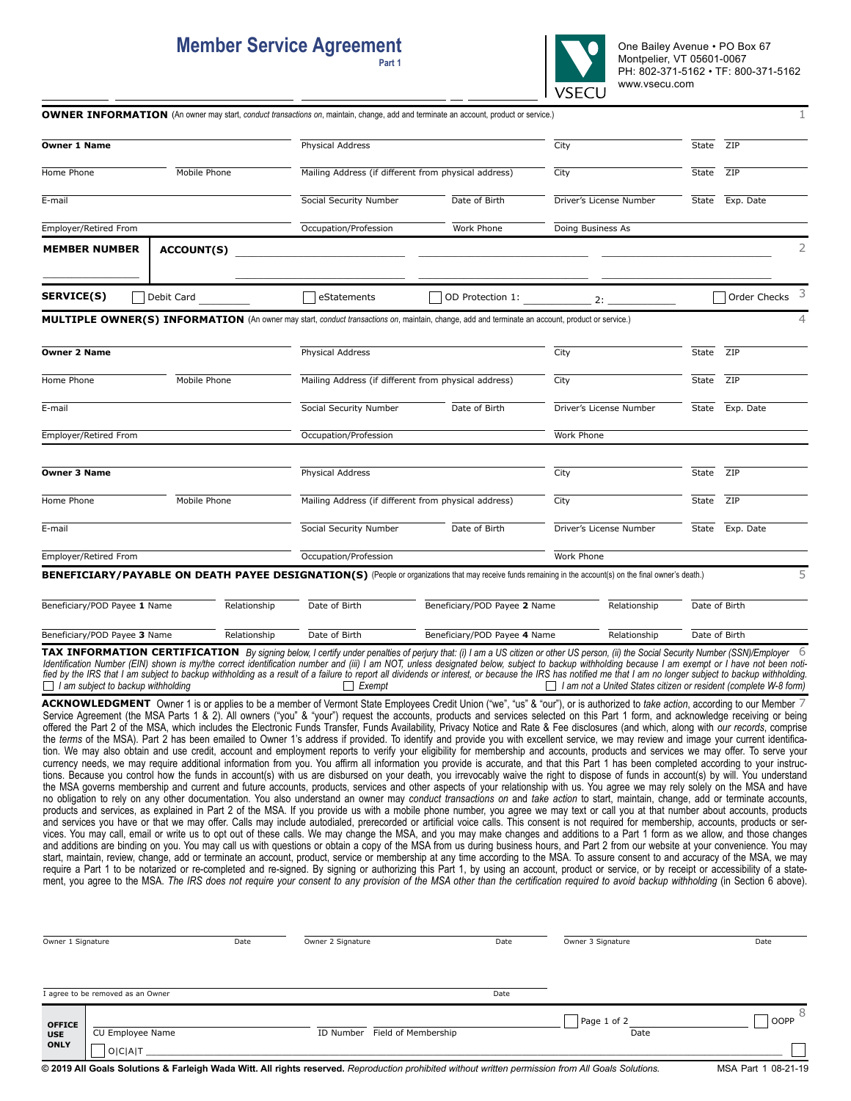## **Member Service Agreement**

 **Part 1**



|                                           |                   |                                                      | <b>OWNER INFORMATION</b> (An owner may start, conduct transactions on, maintain, change, add and terminate an account, product or service.)                                                                                                                                                                                                                                                                                                                                                                                                                                                                                                                                                                                                                                                                                                                                                                                                                                                                                                                                                                                                                                                                                                                                                                                                                                                                                                                                                                                                                                                                                                                                                                                                                                                                                                                                                             |                                              |                   |                         |               | 1.                                                               |
|-------------------------------------------|-------------------|------------------------------------------------------|---------------------------------------------------------------------------------------------------------------------------------------------------------------------------------------------------------------------------------------------------------------------------------------------------------------------------------------------------------------------------------------------------------------------------------------------------------------------------------------------------------------------------------------------------------------------------------------------------------------------------------------------------------------------------------------------------------------------------------------------------------------------------------------------------------------------------------------------------------------------------------------------------------------------------------------------------------------------------------------------------------------------------------------------------------------------------------------------------------------------------------------------------------------------------------------------------------------------------------------------------------------------------------------------------------------------------------------------------------------------------------------------------------------------------------------------------------------------------------------------------------------------------------------------------------------------------------------------------------------------------------------------------------------------------------------------------------------------------------------------------------------------------------------------------------------------------------------------------------------------------------------------------------|----------------------------------------------|-------------------|-------------------------|---------------|------------------------------------------------------------------|
| Owner 1 Name                              |                   |                                                      | Physical Address                                                                                                                                                                                                                                                                                                                                                                                                                                                                                                                                                                                                                                                                                                                                                                                                                                                                                                                                                                                                                                                                                                                                                                                                                                                                                                                                                                                                                                                                                                                                                                                                                                                                                                                                                                                                                                                                                        |                                              | City              |                         | State         | ZIP                                                              |
| Mobile Phone<br>Home Phone                |                   | Mailing Address (if different from physical address) |                                                                                                                                                                                                                                                                                                                                                                                                                                                                                                                                                                                                                                                                                                                                                                                                                                                                                                                                                                                                                                                                                                                                                                                                                                                                                                                                                                                                                                                                                                                                                                                                                                                                                                                                                                                                                                                                                                         | City                                         |                   | State                   | ZIP           |                                                                  |
| E-mail                                    |                   |                                                      | Social Security Number                                                                                                                                                                                                                                                                                                                                                                                                                                                                                                                                                                                                                                                                                                                                                                                                                                                                                                                                                                                                                                                                                                                                                                                                                                                                                                                                                                                                                                                                                                                                                                                                                                                                                                                                                                                                                                                                                  | Date of Birth                                |                   | Driver's License Number | State         | Exp. Date                                                        |
| Employer/Retired From                     |                   |                                                      | Occupation/Profession                                                                                                                                                                                                                                                                                                                                                                                                                                                                                                                                                                                                                                                                                                                                                                                                                                                                                                                                                                                                                                                                                                                                                                                                                                                                                                                                                                                                                                                                                                                                                                                                                                                                                                                                                                                                                                                                                   | Work Phone                                   | Doing Business As |                         |               |                                                                  |
| <b>MEMBER NUMBER</b>                      | <b>ACCOUNT(S)</b> |                                                      |                                                                                                                                                                                                                                                                                                                                                                                                                                                                                                                                                                                                                                                                                                                                                                                                                                                                                                                                                                                                                                                                                                                                                                                                                                                                                                                                                                                                                                                                                                                                                                                                                                                                                                                                                                                                                                                                                                         |                                              |                   |                         |               | 2                                                                |
| <b>SERVICE(S)</b>                         | Debit Card        |                                                      | eStatements                                                                                                                                                                                                                                                                                                                                                                                                                                                                                                                                                                                                                                                                                                                                                                                                                                                                                                                                                                                                                                                                                                                                                                                                                                                                                                                                                                                                                                                                                                                                                                                                                                                                                                                                                                                                                                                                                             | OD Protection 1:                             | 2:                |                         |               | 3<br>Order Checks                                                |
|                                           |                   |                                                      | <b>MULTIPLE OWNER(S) INFORMATION</b> (An owner may start, conduct transactions on, maintain, change, add and terminate an account, product or service.)                                                                                                                                                                                                                                                                                                                                                                                                                                                                                                                                                                                                                                                                                                                                                                                                                                                                                                                                                                                                                                                                                                                                                                                                                                                                                                                                                                                                                                                                                                                                                                                                                                                                                                                                                 |                                              |                   |                         |               |                                                                  |
| Owner 2 Name                              |                   |                                                      | Physical Address                                                                                                                                                                                                                                                                                                                                                                                                                                                                                                                                                                                                                                                                                                                                                                                                                                                                                                                                                                                                                                                                                                                                                                                                                                                                                                                                                                                                                                                                                                                                                                                                                                                                                                                                                                                                                                                                                        |                                              | City              |                         | State         | ZIP                                                              |
| Home Phone                                | Mobile Phone      |                                                      | Mailing Address (if different from physical address)                                                                                                                                                                                                                                                                                                                                                                                                                                                                                                                                                                                                                                                                                                                                                                                                                                                                                                                                                                                                                                                                                                                                                                                                                                                                                                                                                                                                                                                                                                                                                                                                                                                                                                                                                                                                                                                    |                                              | City              |                         | State         | ZIP                                                              |
| E-mail                                    |                   |                                                      | Social Security Number                                                                                                                                                                                                                                                                                                                                                                                                                                                                                                                                                                                                                                                                                                                                                                                                                                                                                                                                                                                                                                                                                                                                                                                                                                                                                                                                                                                                                                                                                                                                                                                                                                                                                                                                                                                                                                                                                  | Date of Birth                                |                   | Driver's License Number | State         | Exp. Date                                                        |
| Employer/Retired From                     |                   |                                                      | Occupation/Profession                                                                                                                                                                                                                                                                                                                                                                                                                                                                                                                                                                                                                                                                                                                                                                                                                                                                                                                                                                                                                                                                                                                                                                                                                                                                                                                                                                                                                                                                                                                                                                                                                                                                                                                                                                                                                                                                                   |                                              | Work Phone        |                         |               |                                                                  |
| Owner 3 Name                              |                   |                                                      | Physical Address                                                                                                                                                                                                                                                                                                                                                                                                                                                                                                                                                                                                                                                                                                                                                                                                                                                                                                                                                                                                                                                                                                                                                                                                                                                                                                                                                                                                                                                                                                                                                                                                                                                                                                                                                                                                                                                                                        |                                              | City              |                         | State         | ZIP                                                              |
| Mobile Phone<br>Home Phone                |                   | Mailing Address (if different from physical address) |                                                                                                                                                                                                                                                                                                                                                                                                                                                                                                                                                                                                                                                                                                                                                                                                                                                                                                                                                                                                                                                                                                                                                                                                                                                                                                                                                                                                                                                                                                                                                                                                                                                                                                                                                                                                                                                                                                         | City                                         |                   | State                   | ZIP           |                                                                  |
| E-mail                                    |                   |                                                      | Social Security Number                                                                                                                                                                                                                                                                                                                                                                                                                                                                                                                                                                                                                                                                                                                                                                                                                                                                                                                                                                                                                                                                                                                                                                                                                                                                                                                                                                                                                                                                                                                                                                                                                                                                                                                                                                                                                                                                                  | Date of Birth                                |                   | Driver's License Number | State         | Exp. Date                                                        |
| Employer/Retired From                     |                   |                                                      | Occupation/Profession                                                                                                                                                                                                                                                                                                                                                                                                                                                                                                                                                                                                                                                                                                                                                                                                                                                                                                                                                                                                                                                                                                                                                                                                                                                                                                                                                                                                                                                                                                                                                                                                                                                                                                                                                                                                                                                                                   |                                              | Work Phone        |                         |               |                                                                  |
|                                           |                   |                                                      | BENEFICIARY/PAYABLE ON DEATH PAYEE DESIGNATION(S) (People or organizations that may receive funds remaining in the account(s) on the final owner's death.)                                                                                                                                                                                                                                                                                                                                                                                                                                                                                                                                                                                                                                                                                                                                                                                                                                                                                                                                                                                                                                                                                                                                                                                                                                                                                                                                                                                                                                                                                                                                                                                                                                                                                                                                              |                                              |                   |                         |               | 5                                                                |
| Beneficiary/POD Payee 1 Name              |                   | Relationship                                         | Date of Birth                                                                                                                                                                                                                                                                                                                                                                                                                                                                                                                                                                                                                                                                                                                                                                                                                                                                                                                                                                                                                                                                                                                                                                                                                                                                                                                                                                                                                                                                                                                                                                                                                                                                                                                                                                                                                                                                                           | Beneficiary/POD Payee 2 Name<br>Relationship |                   | Date of Birth           |               |                                                                  |
| Beneficiary/POD Payee 3 Name              |                   | Relationship                                         | Date of Birth                                                                                                                                                                                                                                                                                                                                                                                                                                                                                                                                                                                                                                                                                                                                                                                                                                                                                                                                                                                                                                                                                                                                                                                                                                                                                                                                                                                                                                                                                                                                                                                                                                                                                                                                                                                                                                                                                           | Beneficiary/POD Payee 4 Name                 |                   | Relationship            | Date of Birth |                                                                  |
| $\Box$ I am subject to backup withholding |                   |                                                      | <b>TAX INFORMATION CERTIFICATION</b> By signing below, I certify under penalties of perjury that: (i) I am a US citizen or other US person, (ii) the Social Security Number (SSN)/Employer 6<br>Identification Number (EIN) shown is my/the correct identification number and (iii) I am NOT, unless designated below, subject to backup withholding because I am exempt or I have not been noti-<br>fied by the IRS that I am subject to backup withholding as a result of a failure to report all dividends or interest, or because the IRS has notified me that I am no longer subject to backup withholding.<br>Exempt<br>ACKNOWLEDGMENT Owner 1 is or applies to be a member of Vermont State Employees Credit Union ("we", "us" & "our"), or is authorized to take action, according to our Member 7<br>Service Agreement (the MSA Parts 1 & 2). All owners ("you" & "your") request the accounts, products and services selected on this Part 1 form, and acknowledge receiving or being<br>offered the Part 2 of the MSA, which includes the Electronic Funds Transfer, Funds Availability, Privacy Notice and Rate & Fee disclosures (and which, along with our records, comprise<br>the terms of the MSA). Part 2 has been emailed to Owner 1's address if provided. To identify and provide you with excellent service, we may review and image your current identifica-<br>tion. We may also obtain and use credit, account and employment reports to verify your eligibility for membership and accounts, products and services we may offer. To serve your<br>currency needs, we may require additional information from you. You affirm all information you provide is accurate, and that this Part 1 has been completed according to your instruc-                                                                                                                                      |                                              |                   |                         |               | I am not a United States citizen or resident (complete W-8 form) |
|                                           |                   |                                                      | tions. Because you control how the funds in account(s) with us are disbursed on your death, you irrevocably waive the right to dispose of funds in account(s) by will. You understand<br>the MSA governs membership and current and future accounts, products, services and other aspects of your relationship with us. You agree we may rely solely on the MSA and have<br>no obligation to rely on any other documentation. You also understand an owner may conduct transactions on and take action to start, maintain, change, add or terminate accounts,<br>products and services, as explained in Part 2 of the MSA. If you provide us with a mobile phone number, you agree we may text or call you at that number about accounts, products<br>and services you have or that we may offer. Calls may include autodialed, prerecorded or artificial voice calls. This consent is not required for membership, accounts, products or ser-<br>vices. You may call, email or write us to opt out of these calls. We may change the MSA, and you may make changes and additions to a Part 1 form as we allow, and those changes<br>and additions are binding on you. You may call us with questions or obtain a copy of the MSA from us during business hours, and Part 2 from our website at your convenience. You may<br>start, maintain, review, change, add or terminate an account, product, service or membership at any time according to the MSA. To assure consent to and accuracy of the MSA, we may<br>require a Part 1 to be notarized or re-completed and re-signed. By signing or authorizing this Part 1, by using an account, product or service, or by receipt or accessibility of a state-<br>ment, you agree to the MSA. The IRS does not require your consent to any provision of the MSA other than the certification required to avoid backup withholding (in Section 6 above). |                                              |                   |                         |               |                                                                  |

| Owner 1 Signature                                                                                                                                  |                                    | Date | Owner 2 Signature                | Date | Owner 3 Signature   | Date   |
|----------------------------------------------------------------------------------------------------------------------------------------------------|------------------------------------|------|----------------------------------|------|---------------------|--------|
|                                                                                                                                                    | I agree to be removed as an Owner  |      |                                  | Date |                     |        |
| <b>OFFICE</b><br><b>USE</b><br><b>ONLY</b>                                                                                                         | CU Employee Name<br><b>OICIAIT</b> |      | Field of Membership<br>ID Number |      | Page 1 of 2<br>Date | l OOPP |
| © 2019 All Goals Solutions & Farleigh Wada Witt. All rights reserved. Reproduction prohibited without written permission from All Goals Solutions. |                                    |      |                                  |      | MSA Part 1 08-21-19 |        |